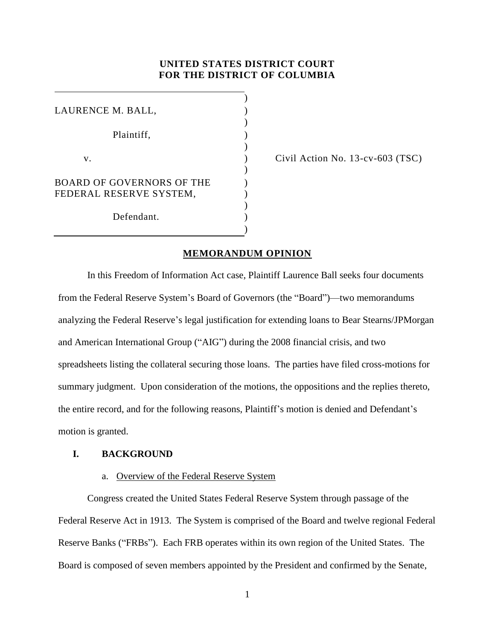# **UNITED STATES DISTRICT COURT FOR THE DISTRICT OF COLUMBIA**

) LAURENCE M. BALL, ) Plaintiff, (1)  $\lambda$  $v.$  )  $\lambda$ BOARD OF GOVERNORS OF THE FEDERAL RESERVE SYSTEM, )  $\lambda$  $\lambda$ Defendant. )

Civil Action No. 13-cv-603 (TSC)

## **MEMORANDUM OPINION**

In this Freedom of Information Act case, Plaintiff Laurence Ball seeks four documents from the Federal Reserve System's Board of Governors (the "Board")—two memorandums analyzing the Federal Reserve's legal justification for extending loans to Bear Stearns/JPMorgan and American International Group ("AIG") during the 2008 financial crisis, and two spreadsheets listing the collateral securing those loans. The parties have filed cross-motions for summary judgment. Upon consideration of the motions, the oppositions and the replies thereto, the entire record, and for the following reasons, Plaintiff's motion is denied and Defendant's motion is granted.

## **I. BACKGROUND**

### a. Overview of the Federal Reserve System

Congress created the United States Federal Reserve System through passage of the Federal Reserve Act in 1913. The System is comprised of the Board and twelve regional Federal Reserve Banks ("FRBs"). Each FRB operates within its own region of the United States. The Board is composed of seven members appointed by the President and confirmed by the Senate,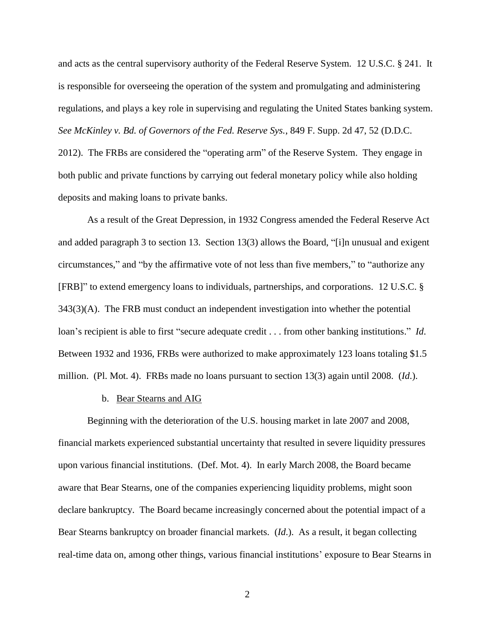and acts as the central supervisory authority of the Federal Reserve System. 12 U.S.C. § 241. It is responsible for overseeing the operation of the system and promulgating and administering regulations, and plays a key role in supervising and regulating the United States banking system. *See McKinley v. Bd. of Governors of the Fed. Reserve Sys.*, 849 F. Supp. 2d 47, 52 (D.D.C. 2012). The FRBs are considered the "operating arm" of the Reserve System. They engage in both public and private functions by carrying out federal monetary policy while also holding deposits and making loans to private banks.

As a result of the Great Depression, in 1932 Congress amended the Federal Reserve Act and added paragraph 3 to section 13. Section 13(3) allows the Board, "[i]n unusual and exigent circumstances," and "by the affirmative vote of not less than five members," to "authorize any [FRB]" to extend emergency loans to individuals, partnerships, and corporations. 12 U.S.C. § 343(3)(A). The FRB must conduct an independent investigation into whether the potential loan's recipient is able to first "secure adequate credit . . . from other banking institutions." *Id*. Between 1932 and 1936, FRBs were authorized to make approximately 123 loans totaling \$1.5 million. (Pl. Mot. 4). FRBs made no loans pursuant to section 13(3) again until 2008. (*Id*.).

### b. Bear Stearns and AIG

Beginning with the deterioration of the U.S. housing market in late 2007 and 2008, financial markets experienced substantial uncertainty that resulted in severe liquidity pressures upon various financial institutions. (Def. Mot. 4). In early March 2008, the Board became aware that Bear Stearns, one of the companies experiencing liquidity problems, might soon declare bankruptcy. The Board became increasingly concerned about the potential impact of a Bear Stearns bankruptcy on broader financial markets. (*Id*.). As a result, it began collecting real-time data on, among other things, various financial institutions' exposure to Bear Stearns in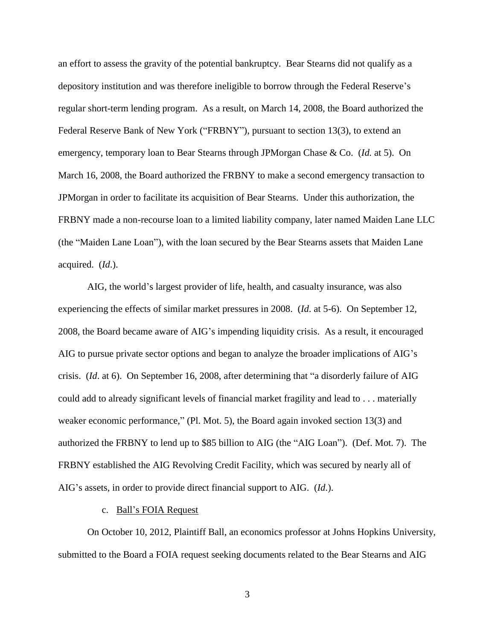an effort to assess the gravity of the potential bankruptcy. Bear Stearns did not qualify as a depository institution and was therefore ineligible to borrow through the Federal Reserve's regular short-term lending program. As a result, on March 14, 2008, the Board authorized the Federal Reserve Bank of New York ("FRBNY"), pursuant to section 13(3), to extend an emergency, temporary loan to Bear Stearns through JPMorgan Chase & Co. (*Id.* at 5). On March 16, 2008, the Board authorized the FRBNY to make a second emergency transaction to JPMorgan in order to facilitate its acquisition of Bear Stearns. Under this authorization, the FRBNY made a non-recourse loan to a limited liability company, later named Maiden Lane LLC (the "Maiden Lane Loan"), with the loan secured by the Bear Stearns assets that Maiden Lane acquired. (*Id*.).

AIG, the world's largest provider of life, health, and casualty insurance, was also experiencing the effects of similar market pressures in 2008. (*Id*. at 5-6). On September 12, 2008, the Board became aware of AIG's impending liquidity crisis. As a result, it encouraged AIG to pursue private sector options and began to analyze the broader implications of AIG's crisis. (*Id*. at 6). On September 16, 2008, after determining that "a disorderly failure of AIG could add to already significant levels of financial market fragility and lead to . . . materially weaker economic performance," (Pl. Mot. 5), the Board again invoked section 13(3) and authorized the FRBNY to lend up to \$85 billion to AIG (the "AIG Loan"). (Def. Mot. 7). The FRBNY established the AIG Revolving Credit Facility, which was secured by nearly all of AIG's assets, in order to provide direct financial support to AIG. (*Id*.).

#### c. Ball's FOIA Request

On October 10, 2012, Plaintiff Ball, an economics professor at Johns Hopkins University, submitted to the Board a FOIA request seeking documents related to the Bear Stearns and AIG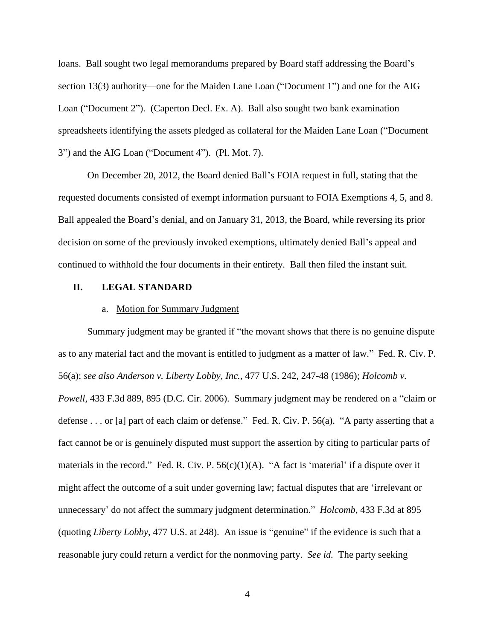loans. Ball sought two legal memorandums prepared by Board staff addressing the Board's section 13(3) authority—one for the Maiden Lane Loan ("Document 1") and one for the AIG Loan ("Document 2"). (Caperton Decl. Ex. A).Ball also sought two bank examination spreadsheets identifying the assets pledged as collateral for the Maiden Lane Loan ("Document 3") and the AIG Loan ("Document 4"). (Pl. Mot. 7).

On December 20, 2012, the Board denied Ball's FOIA request in full, stating that the requested documents consisted of exempt information pursuant to FOIA Exemptions 4, 5, and 8. Ball appealed the Board's denial, and on January 31, 2013, the Board, while reversing its prior decision on some of the previously invoked exemptions, ultimately denied Ball's appeal and continued to withhold the four documents in their entirety. Ball then filed the instant suit.

#### **II. LEGAL STANDARD**

#### a. Motion for Summary Judgment

Summary judgment may be granted if "the movant shows that there is no genuine dispute as to any material fact and the movant is entitled to judgment as a matter of law." Fed. R. Civ. P. 56(a); *see also Anderson v. Liberty Lobby, Inc.*, 477 U.S. 242, 247-48 (1986); *Holcomb v. Powell*, 433 F.3d 889, 895 (D.C. Cir. 2006). Summary judgment may be rendered on a "claim or defense . . . or [a] part of each claim or defense." Fed. R. Civ. P. 56(a). "A party asserting that a fact cannot be or is genuinely disputed must support the assertion by citing to particular parts of materials in the record." Fed. R. Civ. P.  $56(c)(1)(A)$ . "A fact is 'material' if a dispute over it might affect the outcome of a suit under governing law; factual disputes that are 'irrelevant or unnecessary' do not affect the summary judgment determination." *Holcomb*, 433 F.3d at 895 (quoting *Liberty Lobby*, 477 U.S. at 248). An issue is "genuine" if the evidence is such that a reasonable jury could return a verdict for the nonmoving party. *See id.* The party seeking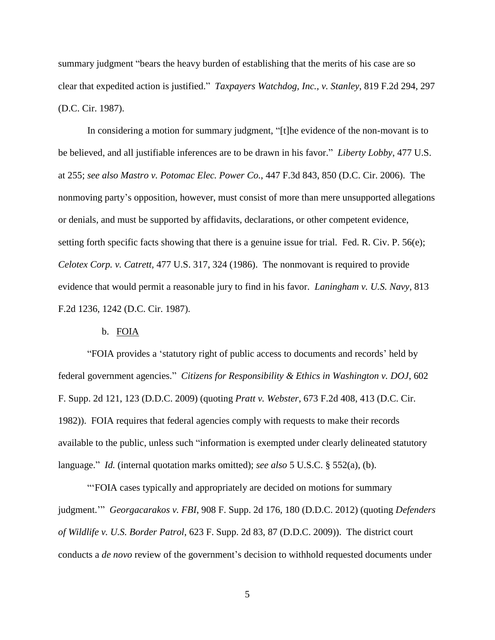summary judgment "bears the heavy burden of establishing that the merits of his case are so clear that expedited action is justified." *Taxpayers Watchdog, Inc., v. Stanley*, 819 F.2d 294, 297 (D.C. Cir. 1987).

In considering a motion for summary judgment, "[t]he evidence of the non-movant is to be believed, and all justifiable inferences are to be drawn in his favor." *Liberty Lobby*, 477 U.S. at 255; *see also Mastro v. Potomac Elec. Power Co.*, 447 F.3d 843, 850 (D.C. Cir. 2006). The nonmoving party's opposition, however, must consist of more than mere unsupported allegations or denials, and must be supported by affidavits, declarations, or other competent evidence, setting forth specific facts showing that there is a genuine issue for trial. Fed. R. Civ. P. 56(e); *Celotex Corp. v. Catrett,* 477 U.S. 317, 324 (1986). The nonmovant is required to provide evidence that would permit a reasonable jury to find in his favor. *Laningham v. U.S. Navy*, 813 F.2d 1236, 1242 (D.C. Cir. 1987).

#### b. FOIA

"FOIA provides a 'statutory right of public access to documents and records' held by federal government agencies." *Citizens for Responsibility & Ethics in Washington v. DOJ*, 602 F. Supp. 2d 121, 123 (D.D.C. 2009) (quoting *Pratt v. Webster*, 673 F.2d 408, 413 (D.C. Cir. 1982)). FOIA requires that federal agencies comply with requests to make their records available to the public, unless such "information is exempted under clearly delineated statutory language." *Id.* (internal quotation marks omitted); *see also* 5 U.S.C. § 552(a), (b).

"'FOIA cases typically and appropriately are decided on motions for summary judgment.'" *Georgacarakos v. FBI*, 908 F. Supp. 2d 176, 180 (D.D.C. 2012) (quoting *Defenders of Wildlife v. U.S. Border Patrol*, 623 F. Supp. 2d 83, 87 (D.D.C. 2009)). The district court conducts a *de novo* review of the government's decision to withhold requested documents under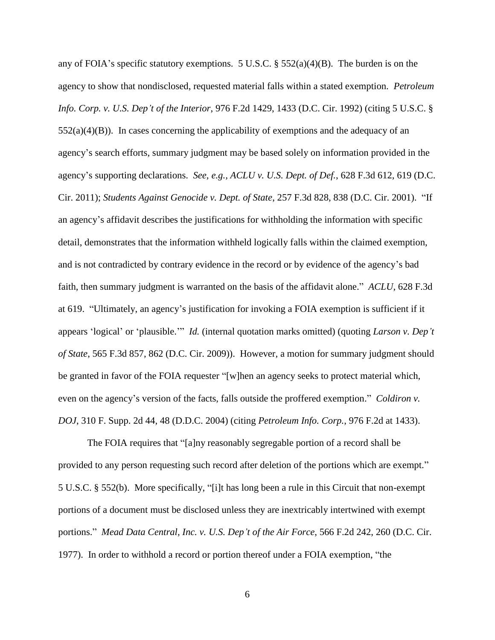any of FOIA's specific statutory exemptions. 5 U.S.C.  $\S$  552(a)(4)(B). The burden is on the agency to show that nondisclosed, requested material falls within a stated exemption. *Petroleum Info. Corp. v. U.S. Dep't of the Interior*, 976 F.2d 1429, 1433 (D.C. Cir. 1992) (citing 5 U.S.C. §  $552(a)(4)(B)$ ). In cases concerning the applicability of exemptions and the adequacy of an agency's search efforts, summary judgment may be based solely on information provided in the agency's supporting declarations. *See, e.g., ACLU v. U.S. Dept. of Def.*, 628 F.3d 612, 619 (D.C. Cir. 2011); *Students Against Genocide v. Dept. of State*, 257 F.3d 828, 838 (D.C. Cir. 2001). "If an agency's affidavit describes the justifications for withholding the information with specific detail, demonstrates that the information withheld logically falls within the claimed exemption, and is not contradicted by contrary evidence in the record or by evidence of the agency's bad faith, then summary judgment is warranted on the basis of the affidavit alone." *ACLU*, 628 F.3d at 619. "Ultimately, an agency's justification for invoking a FOIA exemption is sufficient if it appears 'logical' or 'plausible.'" *Id.* (internal quotation marks omitted) (quoting *Larson v. Dep't of State*, 565 F.3d 857, 862 (D.C. Cir. 2009)). However, a motion for summary judgment should be granted in favor of the FOIA requester "[w]hen an agency seeks to protect material which, even on the agency's version of the facts, falls outside the proffered exemption." *Coldiron v. DOJ*, 310 F. Supp. 2d 44, 48 (D.D.C. 2004) (citing *Petroleum Info. Corp.*, 976 F.2d at 1433).

The FOIA requires that "[a]ny reasonably segregable portion of a record shall be provided to any person requesting such record after deletion of the portions which are exempt." 5 U.S.C. § 552(b). More specifically, "[i]t has long been a rule in this Circuit that non-exempt portions of a document must be disclosed unless they are inextricably intertwined with exempt portions." *Mead Data Central, Inc. v. U.S. Dep't of the Air Force*, 566 F.2d 242, 260 (D.C. Cir. 1977). In order to withhold a record or portion thereof under a FOIA exemption, "the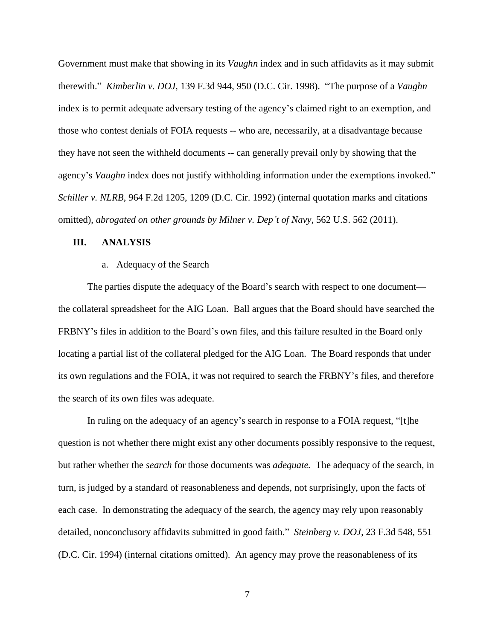Government must make that showing in its *Vaughn* index and in such affidavits as it may submit therewith." *Kimberlin v. DOJ*, 139 F.3d 944, 950 (D.C. Cir. 1998). "The purpose of a *Vaughn* index is to permit adequate adversary testing of the agency's claimed right to an exemption, and those who contest denials of FOIA requests -- who are, necessarily, at a disadvantage because they have not seen the withheld documents -- can generally prevail only by showing that the agency's *Vaughn* index does not justify withholding information under the exemptions invoked." *Schiller v. NLRB*, 964 F.2d 1205, 1209 (D.C. Cir. 1992) (internal quotation marks and citations omitted), *abrogated on other grounds by Milner v. Dep't of Navy*, 562 U.S. 562 (2011).

### **III. ANALYSIS**

#### a. Adequacy of the Search

The parties dispute the adequacy of the Board's search with respect to one document the collateral spreadsheet for the AIG Loan. Ball argues that the Board should have searched the FRBNY's files in addition to the Board's own files, and this failure resulted in the Board only locating a partial list of the collateral pledged for the AIG Loan. The Board responds that under its own regulations and the FOIA, it was not required to search the FRBNY's files, and therefore the search of its own files was adequate.

In ruling on the adequacy of an agency's search in response to a FOIA request, "[t]he question is not whether there might exist any other documents possibly responsive to the request, but rather whether the *search* for those documents was *adequate.* The adequacy of the search, in turn, is judged by a standard of reasonableness and depends, not surprisingly, upon the facts of each case. In demonstrating the adequacy of the search, the agency may rely upon reasonably detailed, nonconclusory affidavits submitted in good faith." *Steinberg v. DOJ*, 23 F.3d 548, 551 (D.C. Cir. 1994) (internal citations omitted). An agency may prove the reasonableness of its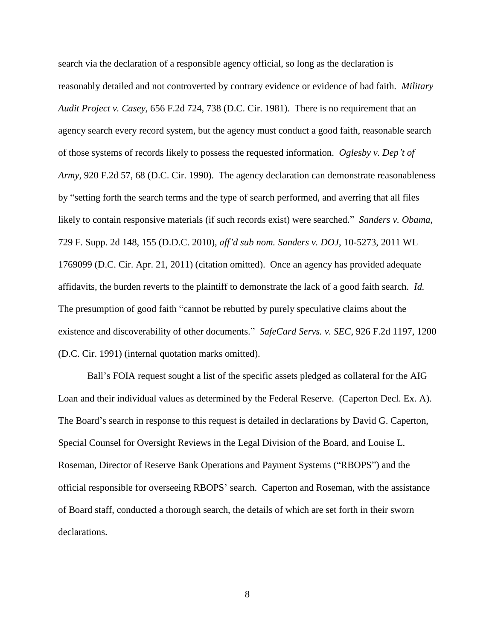search via the declaration of a responsible agency official, so long as the declaration is reasonably detailed and not controverted by contrary evidence or evidence of bad faith. *Military Audit Project v. Casey*, 656 F.2d 724, 738 (D.C. Cir. 1981). There is no requirement that an agency search every record system, but the agency must conduct a good faith, reasonable search of those systems of records likely to possess the requested information. *Oglesby v. Dep't of Army*, 920 F.2d 57, 68 (D.C. Cir. 1990). The agency declaration can demonstrate reasonableness by "setting forth the search terms and the type of search performed, and averring that all files likely to contain responsive materials (if such records exist) were searched." *Sanders v. Obama*, 729 F. Supp. 2d 148, 155 (D.D.C. 2010), *aff'd sub nom. Sanders v. DOJ*, 10-5273, 2011 WL 1769099 (D.C. Cir. Apr. 21, 2011) (citation omitted). Once an agency has provided adequate affidavits, the burden reverts to the plaintiff to demonstrate the lack of a good faith search. *Id.* The presumption of good faith "cannot be rebutted by purely speculative claims about the existence and discoverability of other documents." *SafeCard Servs. v. SEC*, 926 F.2d 1197, 1200 (D.C. Cir. 1991) (internal quotation marks omitted).

Ball's FOIA request sought a list of the specific assets pledged as collateral for the AIG Loan and their individual values as determined by the Federal Reserve. (Caperton Decl. Ex. A). The Board's search in response to this request is detailed in declarations by David G. Caperton, Special Counsel for Oversight Reviews in the Legal Division of the Board, and Louise L. Roseman, Director of Reserve Bank Operations and Payment Systems ("RBOPS") and the official responsible for overseeing RBOPS' search. Caperton and Roseman, with the assistance of Board staff, conducted a thorough search, the details of which are set forth in their sworn declarations.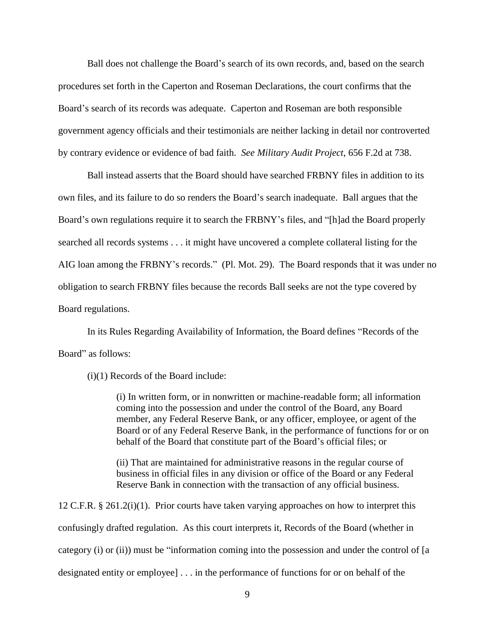Ball does not challenge the Board's search of its own records, and, based on the search procedures set forth in the Caperton and Roseman Declarations, the court confirms that the Board's search of its records was adequate. Caperton and Roseman are both responsible government agency officials and their testimonials are neither lacking in detail nor controverted by contrary evidence or evidence of bad faith. *See Military Audit Project*, 656 F.2d at 738.

Ball instead asserts that the Board should have searched FRBNY files in addition to its own files, and its failure to do so renders the Board's search inadequate. Ball argues that the Board's own regulations require it to search the FRBNY's files, and "[h]ad the Board properly searched all records systems . . . it might have uncovered a complete collateral listing for the AIG loan among the FRBNY's records." (Pl. Mot. 29). The Board responds that it was under no obligation to search FRBNY files because the records Ball seeks are not the type covered by Board regulations.

In its Rules Regarding Availability of Information, the Board defines "Records of the Board" as follows:

(i)(1) Records of the Board include:

(i) In written form, or in nonwritten or machine-readable form; all information coming into the possession and under the control of the Board, any Board member, any Federal Reserve Bank, or any officer, employee, or agent of the Board or of any Federal Reserve Bank, in the performance of functions for or on behalf of the Board that constitute part of the Board's official files; or

(ii) That are maintained for administrative reasons in the regular course of business in official files in any division or office of the Board or any Federal Reserve Bank in connection with the transaction of any official business.

12 C.F.R. § 261.2(i)(1). Prior courts have taken varying approaches on how to interpret this confusingly drafted regulation. As this court interprets it, Records of the Board (whether in category (i) or (ii)) must be "information coming into the possession and under the control of [a designated entity or employee] . . . in the performance of functions for or on behalf of the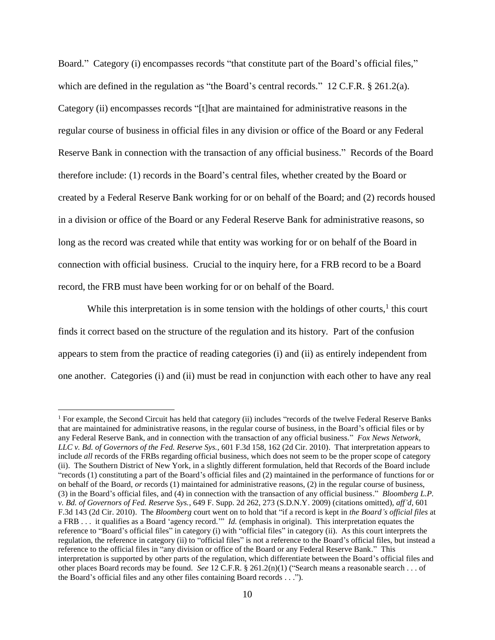Board." Category (i) encompasses records "that constitute part of the Board's official files," which are defined in the regulation as "the Board's central records." 12 C.F.R. § 261.2(a). Category (ii) encompasses records "[t]hat are maintained for administrative reasons in the regular course of business in official files in any division or office of the Board or any Federal Reserve Bank in connection with the transaction of any official business." Records of the Board therefore include: (1) records in the Board's central files, whether created by the Board or created by a Federal Reserve Bank working for or on behalf of the Board; and (2) records housed in a division or office of the Board or any Federal Reserve Bank for administrative reasons, so long as the record was created while that entity was working for or on behalf of the Board in connection with official business. Crucial to the inquiry here, for a FRB record to be a Board record, the FRB must have been working for or on behalf of the Board.

While this interpretation is in some tension with the holdings of other courts, $<sup>1</sup>$  this court</sup> finds it correct based on the structure of the regulation and its history. Part of the confusion appears to stem from the practice of reading categories (i) and (ii) as entirely independent from one another. Categories (i) and (ii) must be read in conjunction with each other to have any real

<sup>&</sup>lt;sup>1</sup> For example, the Second Circuit has held that category (ii) includes "records of the twelve Federal Reserve Banks that are maintained for administrative reasons, in the regular course of business, in the Board's official files or by any Federal Reserve Bank, and in connection with the transaction of any official business." *Fox News Network, LLC v. Bd. of Governors of the Fed. Reserve Sys.*, 601 F.3d 158, 162 (2d Cir. 2010). That interpretation appears to include *all* records of the FRBs regarding official business, which does not seem to be the proper scope of category (ii). The Southern District of New York, in a slightly different formulation, held that Records of the Board include "records (1) constituting a part of the Board's official files and (2) maintained in the performance of functions for or on behalf of the Board, *or* records (1) maintained for administrative reasons, (2) in the regular course of business, (3) in the Board's official files, and (4) in connection with the transaction of any official business." *Bloomberg L.P. v. Bd. of Governors of Fed. Reserve Sys.*, 649 F. Supp. 2d 262, 273 (S.D.N.Y. 2009) (citations omitted), *aff'd*, 601 F.3d 143 (2d Cir. 2010). The *Bloomberg* court went on to hold that "if a record is kept in *the Board's official files* at a FRB . . . it qualifies as a Board 'agency record.'" *Id.* (emphasis in original). This interpretation equates the reference to "Board's official files" in category (i) with "official files" in category (ii). As this court interprets the regulation, the reference in category (ii) to "official files" is not a reference to the Board's official files, but instead a reference to the official files in "any division or office of the Board or any Federal Reserve Bank." This interpretation is supported by other parts of the regulation, which differentiate between the Board's official files and other places Board records may be found. *See* 12 C.F.R. § 261.2(n)(1) ("Search means a reasonable search . . . of the Board's official files and any other files containing Board records . . .").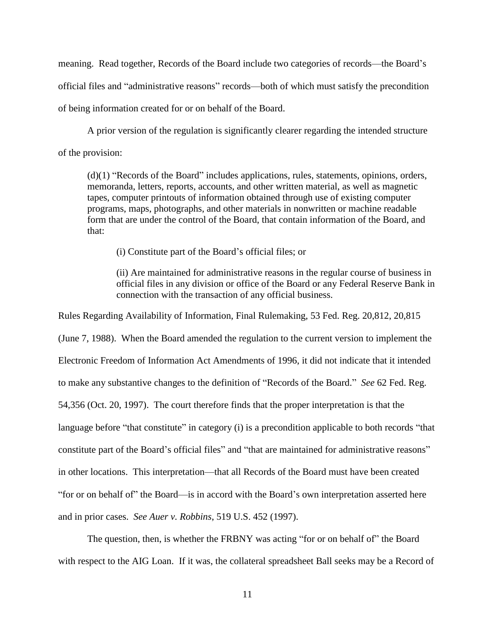meaning. Read together, Records of the Board include two categories of records—the Board's official files and "administrative reasons" records—both of which must satisfy the precondition of being information created for or on behalf of the Board.

A prior version of the regulation is significantly clearer regarding the intended structure of the provision:

(d)(1) "Records of the Board" includes applications, rules, statements, opinions, orders, memoranda, letters, reports, accounts, and other written material, as well as magnetic tapes, computer printouts of information obtained through use of existing computer programs, maps, photographs, and other materials in nonwritten or machine readable form that are under the control of the Board, that contain information of the Board, and that:

(i) Constitute part of the Board's official files; or

(ii) Are maintained for administrative reasons in the regular course of business in official files in any division or office of the Board or any Federal Reserve Bank in connection with the transaction of any official business.

Rules Regarding Availability of Information, Final Rulemaking, 53 Fed. Reg. 20,812, 20,815 (June 7, 1988). When the Board amended the regulation to the current version to implement the Electronic Freedom of Information Act Amendments of 1996, it did not indicate that it intended to make any substantive changes to the definition of "Records of the Board." *See* 62 Fed. Reg. 54,356 (Oct. 20, 1997). The court therefore finds that the proper interpretation is that the

language before "that constitute" in category (i) is a precondition applicable to both records "that

constitute part of the Board's official files" and "that are maintained for administrative reasons"

in other locations. This interpretation—that all Records of the Board must have been created

"for or on behalf of" the Board—is in accord with the Board's own interpretation asserted here

and in prior cases. *See Auer v. Robbins*, 519 U.S. 452 (1997).

The question, then, is whether the FRBNY was acting "for or on behalf of" the Board with respect to the AIG Loan. If it was, the collateral spreadsheet Ball seeks may be a Record of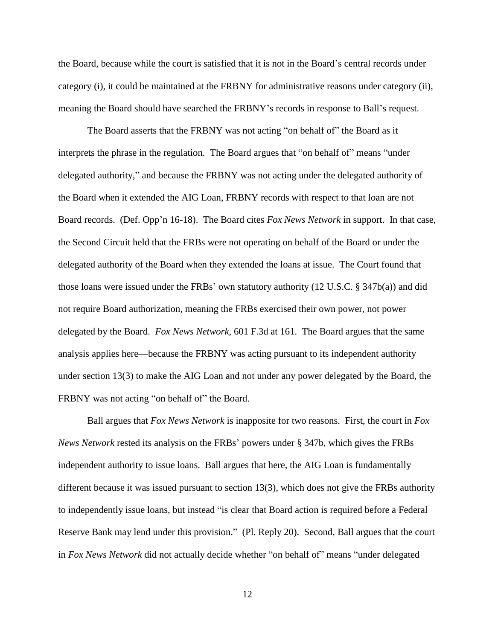the Board, because while the court is satisfied that it is not in the Board's central records under category (i), it could be maintained at the FRBNY for administrative reasons under category (ii), meaning the Board should have searched the FRBNY's records in response to Ball's request.

The Board asserts that the FRBNY was not acting "on behalf of" the Board as it interprets the phrase in the regulation. The Board argues that "on behalf of" means "under delegated authority," and because the FRBNY was not acting under the delegated authority of the Board when it extended the AIG Loan, FRBNY records with respect to that loan are not Board records. (Def. Opp'n 16-18). The Board cites *Fox News Network* in support. In that case, the Second Circuit held that the FRBs were not operating on behalf of the Board or under the delegated authority of the Board when they extended the loans at issue. The Court found that those loans were issued under the FRBs' own statutory authority (12 U.S.C. § 347b(a)) and did not require Board authorization, meaning the FRBs exercised their own power, not power delegated by the Board. *Fox News Network*, 601 F.3d at 161. The Board argues that the same analysis applies here—because the FRBNY was acting pursuant to its independent authority under section 13(3) to make the AIG Loan and not under any power delegated by the Board, the FRBNY was not acting "on behalf of" the Board.

Ball argues that *Fox News Network* is inapposite for two reasons. First, the court in *Fox News Network* rested its analysis on the FRBs' powers under § 347b, which gives the FRBs independent authority to issue loans. Ball argues that here, the AIG Loan is fundamentally different because it was issued pursuant to section 13(3), which does not give the FRBs authority to independently issue loans, but instead "is clear that Board action is required before a Federal Reserve Bank may lend under this provision." (Pl. Reply 20). Second, Ball argues that the court in *Fox News Network* did not actually decide whether "on behalf of" means "under delegated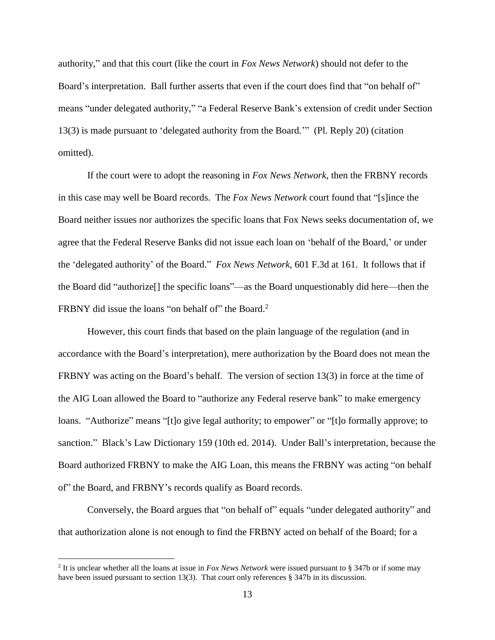authority," and that this court (like the court in *Fox News Network*) should not defer to the Board's interpretation. Ball further asserts that even if the court does find that "on behalf of" means "under delegated authority," "a Federal Reserve Bank's extension of credit under Section 13(3) is made pursuant to 'delegated authority from the Board.'" (Pl. Reply 20) (citation omitted).

If the court were to adopt the reasoning in *Fox News Network*, then the FRBNY records in this case may well be Board records. The *Fox News Network* court found that "[s]ince the Board neither issues nor authorizes the specific loans that Fox News seeks documentation of, we agree that the Federal Reserve Banks did not issue each loan on 'behalf of the Board,' or under the 'delegated authority' of the Board." *Fox News Network,* 601 F.3d at 161. It follows that if the Board did "authorize[] the specific loans"—as the Board unquestionably did here—then the FRBNY did issue the loans "on behalf of" the Board.<sup>2</sup>

However, this court finds that based on the plain language of the regulation (and in accordance with the Board's interpretation), mere authorization by the Board does not mean the FRBNY was acting on the Board's behalf. The version of section 13(3) in force at the time of the AIG Loan allowed the Board to "authorize any Federal reserve bank" to make emergency loans. "Authorize" means "[t]o give legal authority; to empower" or "[t]o formally approve; to sanction." Black's Law Dictionary 159 (10th ed. 2014). Under Ball's interpretation, because the Board authorized FRBNY to make the AIG Loan, this means the FRBNY was acting "on behalf of" the Board, and FRBNY's records qualify as Board records.

Conversely, the Board argues that "on behalf of" equals "under delegated authority" and that authorization alone is not enough to find the FRBNY acted on behalf of the Board; for a

<sup>2</sup> It is unclear whether all the loans at issue in *Fox News Network* were issued pursuant to § 347b or if some may have been issued pursuant to section 13(3). That court only references § 347b in its discussion.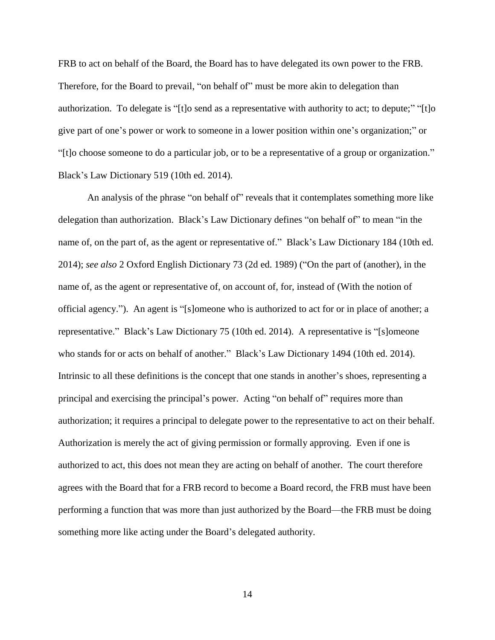FRB to act on behalf of the Board, the Board has to have delegated its own power to the FRB. Therefore, for the Board to prevail, "on behalf of" must be more akin to delegation than authorization. To delegate is "[t]o send as a representative with authority to act; to depute;" "[t]o give part of one's power or work to someone in a lower position within one's organization;" or "[t]o choose someone to do a particular job, or to be a representative of a group or organization." Black's Law Dictionary 519 (10th ed. 2014).

An analysis of the phrase "on behalf of" reveals that it contemplates something more like delegation than authorization. Black's Law Dictionary defines "on behalf of" to mean "in the name of, on the part of, as the agent or representative of." Black's Law Dictionary 184 (10th ed. 2014); *see also* 2 Oxford English Dictionary 73 (2d ed. 1989) ("On the part of (another), in the name of, as the agent or representative of, on account of, for, instead of (With the notion of official agency."). An agent is "[s]omeone who is authorized to act for or in place of another; a representative." Black's Law Dictionary 75 (10th ed. 2014). A representative is "[s]omeone who stands for or acts on behalf of another." Black's Law Dictionary 1494 (10th ed. 2014). Intrinsic to all these definitions is the concept that one stands in another's shoes, representing a principal and exercising the principal's power. Acting "on behalf of" requires more than authorization; it requires a principal to delegate power to the representative to act on their behalf. Authorization is merely the act of giving permission or formally approving. Even if one is authorized to act, this does not mean they are acting on behalf of another. The court therefore agrees with the Board that for a FRB record to become a Board record, the FRB must have been performing a function that was more than just authorized by the Board—the FRB must be doing something more like acting under the Board's delegated authority.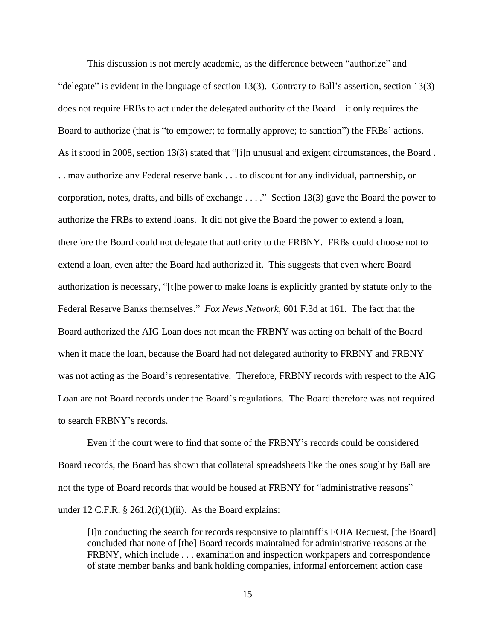This discussion is not merely academic, as the difference between "authorize" and "delegate" is evident in the language of section 13(3). Contrary to Ball's assertion, section 13(3) does not require FRBs to act under the delegated authority of the Board—it only requires the Board to authorize (that is "to empower; to formally approve; to sanction") the FRBs' actions. As it stood in 2008, section 13(3) stated that "[i]n unusual and exigent circumstances, the Board . . . may authorize any Federal reserve bank . . . to discount for any individual, partnership, or corporation, notes, drafts, and bills of exchange . . . ." Section 13(3) gave the Board the power to authorize the FRBs to extend loans. It did not give the Board the power to extend a loan, therefore the Board could not delegate that authority to the FRBNY. FRBs could choose not to extend a loan, even after the Board had authorized it. This suggests that even where Board authorization is necessary, "[t]he power to make loans is explicitly granted by statute only to the Federal Reserve Banks themselves." *Fox News Network*, 601 F.3d at 161. The fact that the Board authorized the AIG Loan does not mean the FRBNY was acting on behalf of the Board when it made the loan, because the Board had not delegated authority to FRBNY and FRBNY was not acting as the Board's representative. Therefore, FRBNY records with respect to the AIG Loan are not Board records under the Board's regulations. The Board therefore was not required to search FRBNY's records.

Even if the court were to find that some of the FRBNY's records could be considered Board records, the Board has shown that collateral spreadsheets like the ones sought by Ball are not the type of Board records that would be housed at FRBNY for "administrative reasons" under 12 C.F.R.  $\S 261.2(i)(1)(ii)$ . As the Board explains:

[I]n conducting the search for records responsive to plaintiff's FOIA Request, [the Board] concluded that none of [the] Board records maintained for administrative reasons at the FRBNY, which include . . . examination and inspection workpapers and correspondence of state member banks and bank holding companies, informal enforcement action case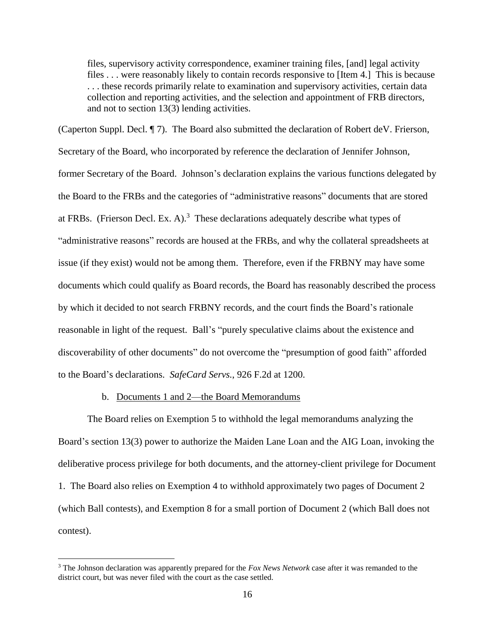files, supervisory activity correspondence, examiner training files, [and] legal activity files . . . were reasonably likely to contain records responsive to [Item 4.] This is because . . . these records primarily relate to examination and supervisory activities, certain data collection and reporting activities, and the selection and appointment of FRB directors, and not to section 13(3) lending activities.

(Caperton Suppl. Decl. ¶ 7). The Board also submitted the declaration of Robert deV. Frierson, Secretary of the Board, who incorporated by reference the declaration of Jennifer Johnson, former Secretary of the Board. Johnson's declaration explains the various functions delegated by the Board to the FRBs and the categories of "administrative reasons" documents that are stored at FRBs. (Frierson Decl. Ex. A).<sup>3</sup> These declarations adequately describe what types of "administrative reasons" records are housed at the FRBs, and why the collateral spreadsheets at issue (if they exist) would not be among them. Therefore, even if the FRBNY may have some documents which could qualify as Board records, the Board has reasonably described the process by which it decided to not search FRBNY records, and the court finds the Board's rationale reasonable in light of the request. Ball's "purely speculative claims about the existence and discoverability of other documents" do not overcome the "presumption of good faith" afforded to the Board's declarations. *SafeCard Servs.*, 926 F.2d at 1200.

### b. Documents 1 and 2—the Board Memorandums

 $\overline{a}$ 

The Board relies on Exemption 5 to withhold the legal memorandums analyzing the Board's section 13(3) power to authorize the Maiden Lane Loan and the AIG Loan, invoking the deliberative process privilege for both documents, and the attorney-client privilege for Document 1. The Board also relies on Exemption 4 to withhold approximately two pages of Document 2 (which Ball contests), and Exemption 8 for a small portion of Document 2 (which Ball does not contest).

<sup>3</sup> The Johnson declaration was apparently prepared for the *Fox News Network* case after it was remanded to the district court, but was never filed with the court as the case settled.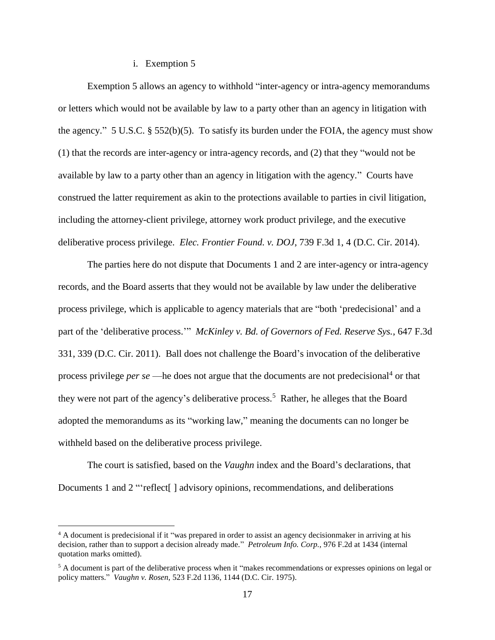### i. Exemption 5

Exemption 5 allows an agency to withhold "inter-agency or intra-agency memorandums or letters which would not be available by law to a party other than an agency in litigation with the agency." 5 U.S.C.  $\S$  552(b)(5). To satisfy its burden under the FOIA, the agency must show (1) that the records are inter-agency or intra-agency records, and (2) that they "would not be available by law to a party other than an agency in litigation with the agency." Courts have construed the latter requirement as akin to the protections available to parties in civil litigation, including the attorney-client privilege, attorney work product privilege, and the executive deliberative process privilege. *Elec. Frontier Found. v. DOJ*, 739 F.3d 1, 4 (D.C. Cir. 2014).

The parties here do not dispute that Documents 1 and 2 are inter-agency or intra-agency records, and the Board asserts that they would not be available by law under the deliberative process privilege, which is applicable to agency materials that are "both 'predecisional' and a part of the 'deliberative process.'" *McKinley v. Bd. of Governors of Fed. Reserve Sys.*, 647 F.3d 331, 339 (D.C. Cir. 2011). Ball does not challenge the Board's invocation of the deliberative process privilege *per se* —he does not argue that the documents are not predecisional<sup>4</sup> or that they were not part of the agency's deliberative process.<sup>5</sup> Rather, he alleges that the Board adopted the memorandums as its "working law," meaning the documents can no longer be withheld based on the deliberative process privilege.

The court is satisfied, based on the *Vaughn* index and the Board's declarations, that Documents 1 and 2 "reflect | advisory opinions, recommendations, and deliberations

<sup>&</sup>lt;sup>4</sup> A document is predecisional if it "was prepared in order to assist an agency decisionmaker in arriving at his decision, rather than to support a decision already made." *Petroleum Info. Corp.,* 976 F.2d at 1434 (internal quotation marks omitted).

<sup>&</sup>lt;sup>5</sup> A document is part of the deliberative process when it "makes recommendations or expresses opinions on legal or policy matters." *Vaughn v. Rosen,* 523 F.2d 1136, 1144 (D.C. Cir. 1975).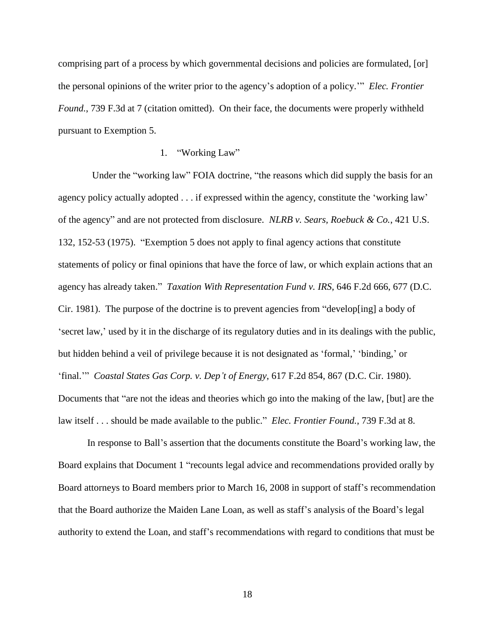comprising part of a process by which governmental decisions and policies are formulated, [or] the personal opinions of the writer prior to the agency's adoption of a policy.'" *Elec. Frontier Found.*, 739 F.3d at 7 (citation omitted). On their face, the documents were properly withheld pursuant to Exemption 5.

## 1. "Working Law"

 Under the "working law" FOIA doctrine, "the reasons which did supply the basis for an agency policy actually adopted . . . if expressed within the agency, constitute the 'working law' of the agency" and are not protected from disclosure. *NLRB v. Sears, Roebuck & Co.*, 421 U.S. 132, 152-53 (1975). "Exemption 5 does not apply to final agency actions that constitute statements of policy or final opinions that have the force of law, or which explain actions that an agency has already taken." *Taxation With Representation Fund v. IRS*, 646 F.2d 666, 677 (D.C. Cir. 1981). The purpose of the doctrine is to prevent agencies from "develop[ing] a body of 'secret law,' used by it in the discharge of its regulatory duties and in its dealings with the public, but hidden behind a veil of privilege because it is not designated as 'formal,' 'binding,' or 'final.'" *Coastal States Gas Corp. v. Dep't of Energy*, 617 F.2d 854, 867 (D.C. Cir. 1980). Documents that "are not the ideas and theories which go into the making of the law, [but] are the law itself . . . should be made available to the public." *Elec. Frontier Found.*, 739 F.3d at 8.

In response to Ball's assertion that the documents constitute the Board's working law, the Board explains that Document 1 "recounts legal advice and recommendations provided orally by Board attorneys to Board members prior to March 16, 2008 in support of staff's recommendation that the Board authorize the Maiden Lane Loan, as well as staff's analysis of the Board's legal authority to extend the Loan, and staff's recommendations with regard to conditions that must be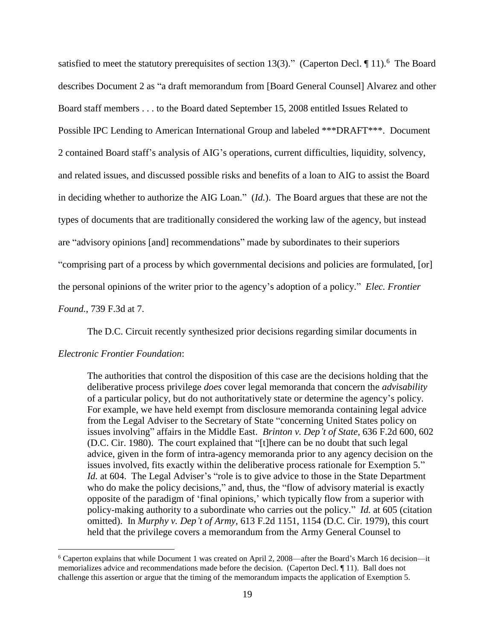satisfied to meet the statutory prerequisites of section 13(3)." (Caperton Decl.  $\P$ 11).<sup>6</sup> The Board describes Document 2 as "a draft memorandum from [Board General Counsel] Alvarez and other Board staff members . . . to the Board dated September 15, 2008 entitled Issues Related to Possible IPC Lending to American International Group and labeled \*\*\*DRAFT\*\*\*. Document 2 contained Board staff's analysis of AIG's operations, current difficulties, liquidity, solvency, and related issues, and discussed possible risks and benefits of a loan to AIG to assist the Board in deciding whether to authorize the AIG Loan." (*Id.*). The Board argues that these are not the types of documents that are traditionally considered the working law of the agency, but instead are "advisory opinions [and] recommendations" made by subordinates to their superiors "comprising part of a process by which governmental decisions and policies are formulated, [or] the personal opinions of the writer prior to the agency's adoption of a policy." *Elec. Frontier Found.*, 739 F.3d at 7.

The D.C. Circuit recently synthesized prior decisions regarding similar documents in

#### *Electronic Frontier Foundation*:

 $\overline{a}$ 

The authorities that control the disposition of this case are the decisions holding that the deliberative process privilege *does* cover legal memoranda that concern the *advisability* of a particular policy, but do not authoritatively state or determine the agency's policy. For example, we have held exempt from disclosure memoranda containing legal advice from the Legal Adviser to the Secretary of State "concerning United States policy on issues involving" affairs in the Middle East. *Brinton v. Dep't of State,* 636 F.2d 600, 602 (D.C. Cir. 1980). The court explained that "[t]here can be no doubt that such legal advice, given in the form of intra-agency memoranda prior to any agency decision on the issues involved, fits exactly within the deliberative process rationale for Exemption 5." *Id.* at 604. The Legal Adviser's "role is to give advice to those in the State Department who do make the policy decisions," and, thus, the "flow of advisory material is exactly opposite of the paradigm of 'final opinions,' which typically flow from a superior with policy-making authority to a subordinate who carries out the policy." *Id.* at 605 (citation omitted). In *Murphy v. Dep't of Army,* 613 F.2d 1151, 1154 (D.C. Cir. 1979), this court held that the privilege covers a memorandum from the Army General Counsel to

<sup>6</sup> Caperton explains that while Document 1 was created on April 2, 2008—after the Board's March 16 decision—it memorializes advice and recommendations made before the decision. (Caperton Decl. ¶ 11). Ball does not challenge this assertion or argue that the timing of the memorandum impacts the application of Exemption 5.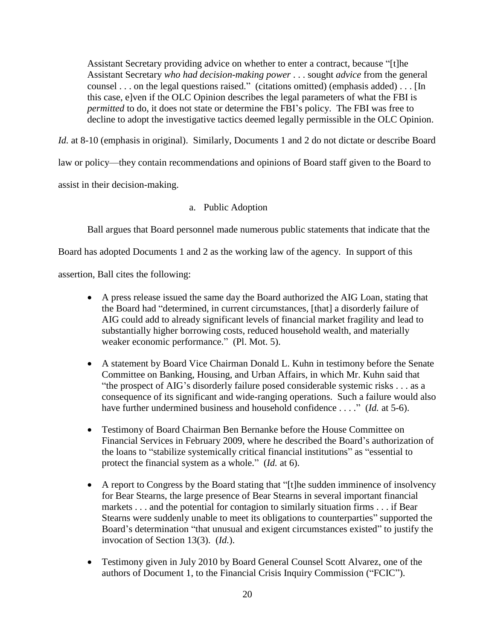Assistant Secretary providing advice on whether to enter a contract, because "[t]he Assistant Secretary *who had decision-making power* . . . sought *advice* from the general counsel . . . on the legal questions raised." (citations omitted) (emphasis added) . . . [In this case, e]ven if the OLC Opinion describes the legal parameters of what the FBI is *permitted* to do, it does not state or determine the FBI's policy. The FBI was free to decline to adopt the investigative tactics deemed legally permissible in the OLC Opinion.

*Id.* at 8-10 (emphasis in original). Similarly, Documents 1 and 2 do not dictate or describe Board

law or policy—they contain recommendations and opinions of Board staff given to the Board to

assist in their decision-making.

a. Public Adoption

Ball argues that Board personnel made numerous public statements that indicate that the

Board has adopted Documents 1 and 2 as the working law of the agency. In support of this

assertion, Ball cites the following:

- A press release issued the same day the Board authorized the AIG Loan, stating that the Board had "determined, in current circumstances, [that] a disorderly failure of AIG could add to already significant levels of financial market fragility and lead to substantially higher borrowing costs, reduced household wealth, and materially weaker economic performance." (Pl. Mot. 5).
- A statement by Board Vice Chairman Donald L. Kuhn in testimony before the Senate Committee on Banking, Housing, and Urban Affairs, in which Mr. Kuhn said that "the prospect of AIG's disorderly failure posed considerable systemic risks . . . as a consequence of its significant and wide-ranging operations. Such a failure would also have further undermined business and household confidence . . . ." *(Id.* at 5-6).
- Testimony of Board Chairman Ben Bernanke before the House Committee on Financial Services in February 2009, where he described the Board's authorization of the loans to "stabilize systemically critical financial institutions" as "essential to protect the financial system as a whole." (*Id.* at 6).
- A report to Congress by the Board stating that "[t]he sudden imminence of insolvency for Bear Stearns, the large presence of Bear Stearns in several important financial markets . . . and the potential for contagion to similarly situation firms . . . if Bear Stearns were suddenly unable to meet its obligations to counterparties" supported the Board's determination "that unusual and exigent circumstances existed" to justify the invocation of Section 13(3). (*Id.*).
- Testimony given in July 2010 by Board General Counsel Scott Alvarez, one of the authors of Document 1, to the Financial Crisis Inquiry Commission ("FCIC").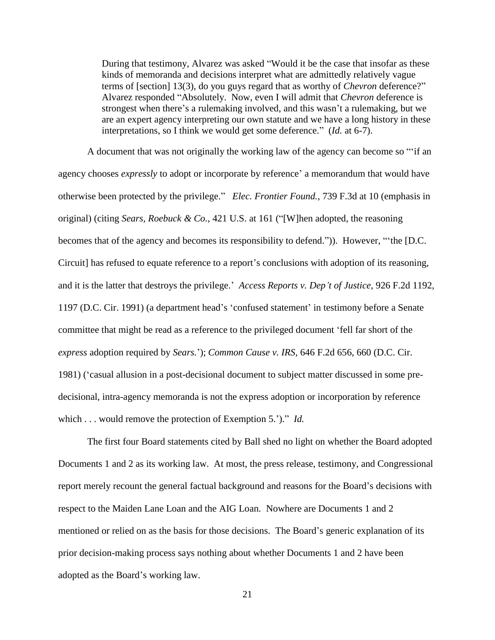During that testimony, Alvarez was asked "Would it be the case that insofar as these kinds of memoranda and decisions interpret what are admittedly relatively vague terms of [section] 13(3), do you guys regard that as worthy of *Chevron* deference?" Alvarez responded "Absolutely. Now, even I will admit that *Chevron* deference is strongest when there's a rulemaking involved, and this wasn't a rulemaking, but we are an expert agency interpreting our own statute and we have a long history in these interpretations, so I think we would get some deference." (*Id.* at 6-7).

A document that was not originally the working law of the agency can become so "'if an agency chooses *expressly* to adopt or incorporate by reference' a memorandum that would have otherwise been protected by the privilege." *Elec. Frontier Found.*, 739 F.3d at 10 (emphasis in original) (citing *Sears, Roebuck & Co.*, 421 U.S. at 161 ("[W]hen adopted, the reasoning becomes that of the agency and becomes its responsibility to defend.")). However, "'the [D.C. Circuit] has refused to equate reference to a report's conclusions with adoption of its reasoning, and it is the latter that destroys the privilege.' *Access Reports v. Dep't of Justice,* 926 F.2d 1192, 1197 (D.C. Cir. 1991) (a department head's 'confused statement' in testimony before a Senate committee that might be read as a reference to the privileged document 'fell far short of the *express* adoption required by *Sears.*'); *Common Cause v. IRS,* 646 F.2d 656, 660 (D.C. Cir. 1981) ('casual allusion in a post-decisional document to subject matter discussed in some predecisional, intra-agency memoranda is not the express adoption or incorporation by reference which . . . would remove the protection of Exemption 5.')." *Id.*

The first four Board statements cited by Ball shed no light on whether the Board adopted Documents 1 and 2 as its working law. At most, the press release, testimony, and Congressional report merely recount the general factual background and reasons for the Board's decisions with respect to the Maiden Lane Loan and the AIG Loan. Nowhere are Documents 1 and 2 mentioned or relied on as the basis for those decisions. The Board's generic explanation of its prior decision-making process says nothing about whether Documents 1 and 2 have been adopted as the Board's working law.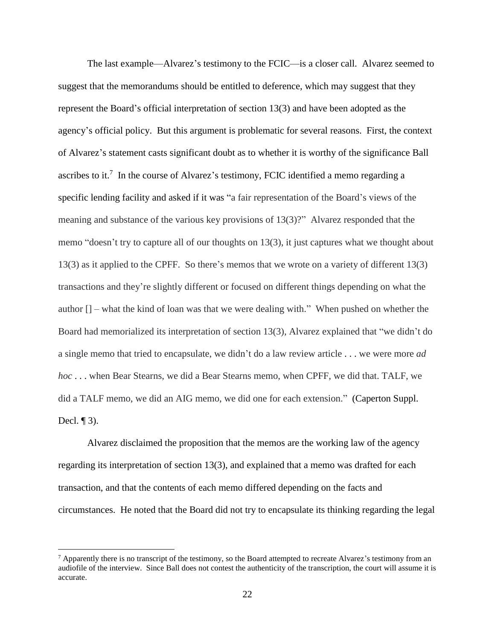The last example—Alvarez's testimony to the FCIC—is a closer call. Alvarez seemed to suggest that the memorandums should be entitled to deference, which may suggest that they represent the Board's official interpretation of section 13(3) and have been adopted as the agency's official policy. But this argument is problematic for several reasons. First, the context of Alvarez's statement casts significant doubt as to whether it is worthy of the significance Ball ascribes to it.<sup>7</sup> In the course of Alvarez's testimony, FCIC identified a memo regarding a specific lending facility and asked if it was "a fair representation of the Board's views of the meaning and substance of the various key provisions of 13(3)?" Alvarez responded that the memo "doesn't try to capture all of our thoughts on 13(3), it just captures what we thought about 13(3) as it applied to the CPFF. So there's memos that we wrote on a variety of different 13(3) transactions and they're slightly different or focused on different things depending on what the author [] – what the kind of loan was that we were dealing with." When pushed on whether the Board had memorialized its interpretation of section 13(3), Alvarez explained that "we didn't do a single memo that tried to encapsulate, we didn't do a law review article . . . we were more *ad hoc* . . . when Bear Stearns, we did a Bear Stearns memo, when CPFF, we did that. TALF, we did a TALF memo, we did an AIG memo, we did one for each extension." (Caperton Suppl. Decl.  $\P$ 3).

Alvarez disclaimed the proposition that the memos are the working law of the agency regarding its interpretation of section 13(3), and explained that a memo was drafted for each transaction, and that the contents of each memo differed depending on the facts and circumstances. He noted that the Board did not try to encapsulate its thinking regarding the legal

 $^7$  Apparently there is no transcript of the testimony, so the Board attempted to recreate Alvarez's testimony from an audiofile of the interview. Since Ball does not contest the authenticity of the transcription, the court will assume it is accurate.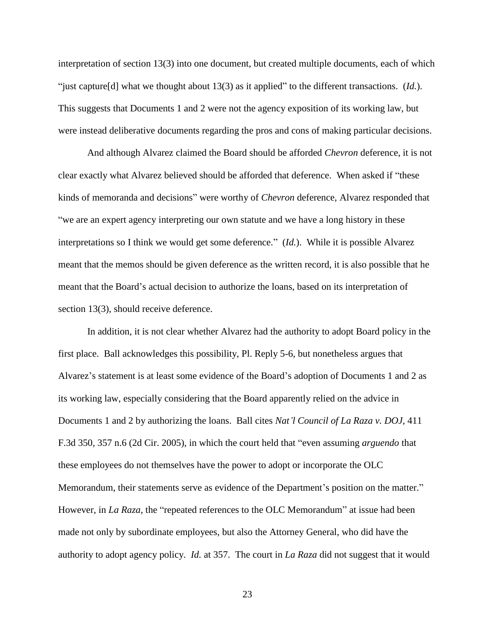interpretation of section 13(3) into one document, but created multiple documents, each of which "just capture[d] what we thought about 13(3) as it applied" to the different transactions. (*Id.*). This suggests that Documents 1 and 2 were not the agency exposition of its working law, but were instead deliberative documents regarding the pros and cons of making particular decisions.

And although Alvarez claimed the Board should be afforded *Chevron* deference, it is not clear exactly what Alvarez believed should be afforded that deference. When asked if "these kinds of memoranda and decisions" were worthy of *Chevron* deference, Alvarez responded that "we are an expert agency interpreting our own statute and we have a long history in these interpretations so I think we would get some deference." (*Id.*). While it is possible Alvarez meant that the memos should be given deference as the written record, it is also possible that he meant that the Board's actual decision to authorize the loans, based on its interpretation of section 13(3), should receive deference.

In addition, it is not clear whether Alvarez had the authority to adopt Board policy in the first place. Ball acknowledges this possibility, Pl. Reply 5-6, but nonetheless argues that Alvarez's statement is at least some evidence of the Board's adoption of Documents 1 and 2 as its working law, especially considering that the Board apparently relied on the advice in Documents 1 and 2 by authorizing the loans. Ball cites *Nat'l Council of La Raza v. DOJ*, 411 F.3d 350, 357 n.6 (2d Cir. 2005), in which the court held that "even assuming *arguendo* that these employees do not themselves have the power to adopt or incorporate the OLC Memorandum, their statements serve as evidence of the Department's position on the matter." However, in *La Raza*, the "repeated references to the OLC Memorandum" at issue had been made not only by subordinate employees, but also the Attorney General, who did have the authority to adopt agency policy. *Id.* at 357. The court in *La Raza* did not suggest that it would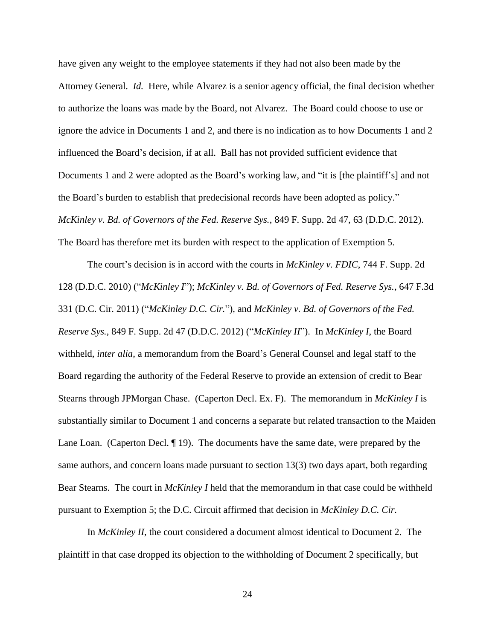have given any weight to the employee statements if they had not also been made by the Attorney General. *Id.* Here, while Alvarez is a senior agency official, the final decision whether to authorize the loans was made by the Board, not Alvarez. The Board could choose to use or ignore the advice in Documents 1 and 2, and there is no indication as to how Documents 1 and 2 influenced the Board's decision, if at all. Ball has not provided sufficient evidence that Documents 1 and 2 were adopted as the Board's working law, and "it is [the plaintiff's] and not the Board's burden to establish that predecisional records have been adopted as policy." *McKinley v. Bd. of Governors of the Fed. Reserve Sys.*, 849 F. Supp. 2d 47, 63 (D.D.C. 2012). The Board has therefore met its burden with respect to the application of Exemption 5.

The court's decision is in accord with the courts in *McKinley v. FDIC*, 744 F. Supp. 2d 128 (D.D.C. 2010) ("*McKinley I*"); *McKinley v. Bd. of Governors of Fed. Reserve Sys.*, 647 F.3d 331 (D.C. Cir. 2011) ("*McKinley D.C. Cir.*"), and *McKinley v. Bd. of Governors of the Fed. Reserve Sys.*, 849 F. Supp. 2d 47 (D.D.C. 2012) ("*McKinley II*"). In *McKinley I*, the Board withheld, *inter alia*, a memorandum from the Board's General Counsel and legal staff to the Board regarding the authority of the Federal Reserve to provide an extension of credit to Bear Stearns through JPMorgan Chase. (Caperton Decl. Ex. F). The memorandum in *McKinley I* is substantially similar to Document 1 and concerns a separate but related transaction to the Maiden Lane Loan. (Caperton Decl. ¶ 19). The documents have the same date, were prepared by the same authors, and concern loans made pursuant to section 13(3) two days apart, both regarding Bear Stearns. The court in *McKinley I* held that the memorandum in that case could be withheld pursuant to Exemption 5; the D.C. Circuit affirmed that decision in *McKinley D.C. Cir.*

In *McKinley II*, the court considered a document almost identical to Document 2. The plaintiff in that case dropped its objection to the withholding of Document 2 specifically, but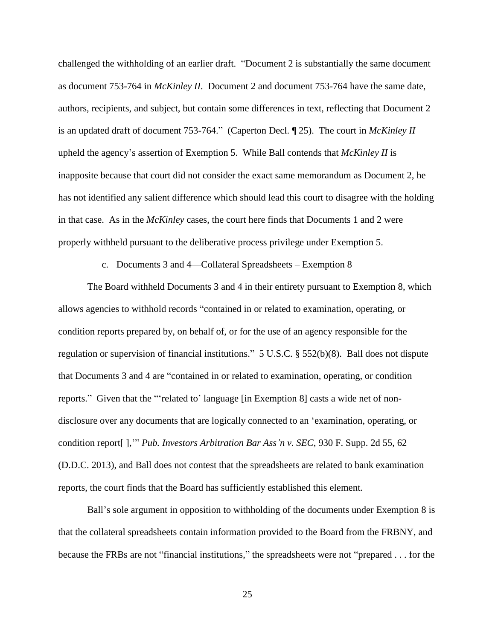challenged the withholding of an earlier draft. "Document 2 is substantially the same document as document 753-764 in *McKinley II*. Document 2 and document 753-764 have the same date, authors, recipients, and subject, but contain some differences in text, reflecting that Document 2 is an updated draft of document 753-764." (Caperton Decl. ¶ 25). The court in *McKinley II* upheld the agency's assertion of Exemption 5. While Ball contends that *McKinley II* is inapposite because that court did not consider the exact same memorandum as Document 2, he has not identified any salient difference which should lead this court to disagree with the holding in that case. As in the *McKinley* cases, the court here finds that Documents 1 and 2 were properly withheld pursuant to the deliberative process privilege under Exemption 5.

## c. Documents 3 and 4—Collateral Spreadsheets – Exemption 8

The Board withheld Documents 3 and 4 in their entirety pursuant to Exemption 8, which allows agencies to withhold records "contained in or related to examination, operating, or condition reports prepared by, on behalf of, or for the use of an agency responsible for the regulation or supervision of financial institutions." 5 U.S.C. § 552(b)(8). Ball does not dispute that Documents 3 and 4 are "contained in or related to examination, operating, or condition reports." Given that the "'related to' language [in Exemption 8] casts a wide net of nondisclosure over any documents that are logically connected to an 'examination, operating, or condition report[ ],'" *Pub. Investors Arbitration Bar Ass'n v. SEC*, 930 F. Supp. 2d 55, 62 (D.D.C. 2013), and Ball does not contest that the spreadsheets are related to bank examination reports, the court finds that the Board has sufficiently established this element.

Ball's sole argument in opposition to withholding of the documents under Exemption 8 is that the collateral spreadsheets contain information provided to the Board from the FRBNY, and because the FRBs are not "financial institutions," the spreadsheets were not "prepared . . . for the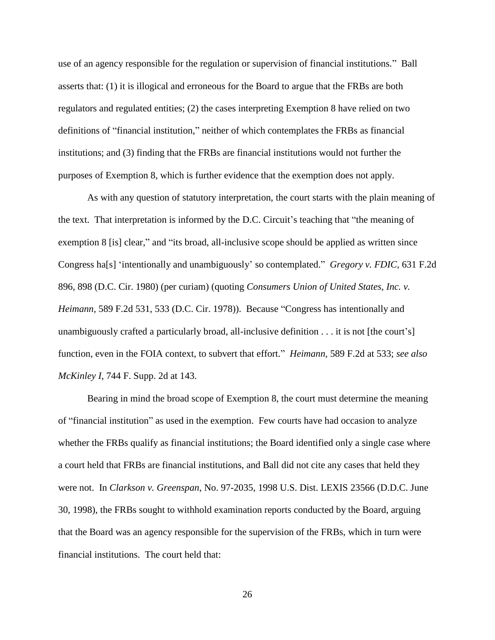use of an agency responsible for the regulation or supervision of financial institutions." Ball asserts that: (1) it is illogical and erroneous for the Board to argue that the FRBs are both regulators and regulated entities; (2) the cases interpreting Exemption 8 have relied on two definitions of "financial institution," neither of which contemplates the FRBs as financial institutions; and (3) finding that the FRBs are financial institutions would not further the purposes of Exemption 8, which is further evidence that the exemption does not apply.

As with any question of statutory interpretation, the court starts with the plain meaning of the text. That interpretation is informed by the D.C. Circuit's teaching that "the meaning of exemption 8 [is] clear," and "its broad, all-inclusive scope should be applied as written since Congress ha[s] 'intentionally and unambiguously' so contemplated." *Gregory v. FDIC,* 631 F.2d 896, 898 (D.C. Cir. 1980) (per curiam) (quoting *Consumers Union of United States, Inc. v. Heimann,* 589 F.2d 531, 533 (D.C. Cir. 1978)). Because "Congress has intentionally and unambiguously crafted a particularly broad, all-inclusive definition . . . it is not [the court's] function, even in the FOIA context, to subvert that effort." *Heimann,* 589 F.2d at 533; *see also McKinley I*, 744 F. Supp. 2d at 143.

Bearing in mind the broad scope of Exemption 8, the court must determine the meaning of "financial institution" as used in the exemption. Few courts have had occasion to analyze whether the FRBs qualify as financial institutions; the Board identified only a single case where a court held that FRBs are financial institutions, and Ball did not cite any cases that held they were not. In *Clarkson v. Greenspan*, No. 97-2035, 1998 U.S. Dist. LEXIS 23566 (D.D.C. June 30, 1998), the FRBs sought to withhold examination reports conducted by the Board, arguing that the Board was an agency responsible for the supervision of the FRBs, which in turn were financial institutions. The court held that: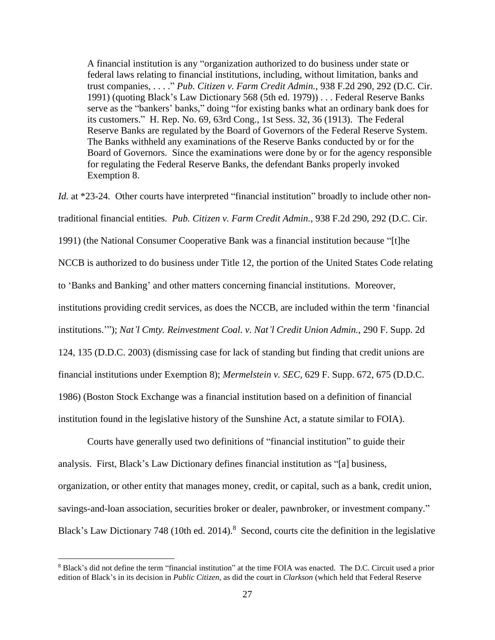A financial institution is any "organization authorized to do business under state or federal laws relating to financial institutions, including, without limitation, banks and trust companies, . . . ." *Pub. Citizen v. Farm Credit Admin.*, 938 F.2d 290, 292 (D.C. Cir. 1991) (quoting Black's Law Dictionary 568 (5th ed. 1979)) . . . Federal Reserve Banks serve as the "bankers' banks," doing "for existing banks what an ordinary bank does for its customers." H. Rep. No. 69, 63rd Cong., 1st Sess. 32, 36 (1913). The Federal Reserve Banks are regulated by the Board of Governors of the Federal Reserve System. The Banks withheld any examinations of the Reserve Banks conducted by or for the Board of Governors. Since the examinations were done by or for the agency responsible for regulating the Federal Reserve Banks, the defendant Banks properly invoked Exemption 8.

*Id.* at \*23-24. Other courts have interpreted "financial institution" broadly to include other nontraditional financial entities. *Pub. Citizen v. Farm Credit Admin.*, 938 F.2d 290, 292 (D.C. Cir. 1991) (the National Consumer Cooperative Bank was a financial institution because "[t]he NCCB is authorized to do business under Title 12, the portion of the United States Code relating to 'Banks and Banking' and other matters concerning financial institutions. Moreover, institutions providing credit services, as does the NCCB, are included within the term 'financial institutions.'"); *Nat'l Cmty. Reinvestment Coal. v. Nat'l Credit Union Admin.*, 290 F. Supp. 2d 124, 135 (D.D.C. 2003) (dismissing case for lack of standing but finding that credit unions are financial institutions under Exemption 8); *Mermelstein v. SEC*, 629 F. Supp. 672, 675 (D.D.C. 1986) (Boston Stock Exchange was a financial institution based on a definition of financial institution found in the legislative history of the Sunshine Act, a statute similar to FOIA).

Courts have generally used two definitions of "financial institution" to guide their analysis. First, Black's Law Dictionary defines financial institution as "[a] business, organization, or other entity that manages money, credit, or capital, such as a bank, credit union, savings-and-loan association, securities broker or dealer, pawnbroker, or investment company." Black's Law Dictionary 748 (10th ed. 2014).<sup>8</sup> Second, courts cite the definition in the legislative

<sup>8</sup> Black's did not define the term "financial institution" at the time FOIA was enacted. The D.C. Circuit used a prior edition of Black's in its decision in *Public Citizen*, as did the court in *Clarkson* (which held that Federal Reserve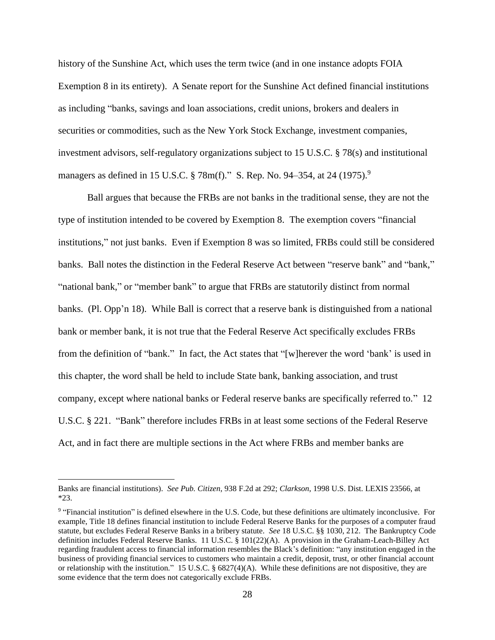history of the Sunshine Act, which uses the term twice (and in one instance adopts FOIA Exemption 8 in its entirety). A Senate report for the Sunshine Act defined financial institutions as including "banks, savings and loan associations, credit unions, brokers and dealers in securities or commodities, such as the New York Stock Exchange, investment companies, investment advisors, self-regulatory organizations subject to 15 U.S.C. § 78(s) and institutional managers as defined in 15 U.S.C. § 78m(f)." S. Rep. No. 94–354, at 24 (1975).<sup>9</sup>

Ball argues that because the FRBs are not banks in the traditional sense, they are not the type of institution intended to be covered by Exemption 8. The exemption covers "financial institutions," not just banks. Even if Exemption 8 was so limited, FRBs could still be considered banks. Ball notes the distinction in the Federal Reserve Act between "reserve bank" and "bank," "national bank," or "member bank" to argue that FRBs are statutorily distinct from normal banks. (Pl. Opp'n 18). While Ball is correct that a reserve bank is distinguished from a national bank or member bank, it is not true that the Federal Reserve Act specifically excludes FRBs from the definition of "bank." In fact, the Act states that "[w]herever the word 'bank' is used in this chapter, the word shall be held to include State bank, banking association, and trust company, except where national banks or Federal reserve banks are specifically referred to." 12 U.S.C. § 221. "Bank" therefore includes FRBs in at least some sections of the Federal Reserve Act, and in fact there are multiple sections in the Act where FRBs and member banks are

Banks are financial institutions). *See Pub. Citizen*, 938 F.2d at 292; *Clarkson*, 1998 U.S. Dist. LEXIS 23566, at \*23.

<sup>&</sup>lt;sup>9</sup> "Financial institution" is defined elsewhere in the U.S. Code, but these definitions are ultimately inconclusive. For example, Title 18 defines financial institution to include Federal Reserve Banks for the purposes of a computer fraud statute, but excludes Federal Reserve Banks in a bribery statute. *See* 18 U.S.C. §§ 1030, 212. The Bankruptcy Code definition includes Federal Reserve Banks. 11 U.S.C. § 101(22)(A). A provision in the Graham-Leach-Billey Act regarding fraudulent access to financial information resembles the Black's definition: "any institution engaged in the business of providing financial services to customers who maintain a credit, deposit, trust, or other financial account or relationship with the institution." 15 U.S.C. § 6827(4)(A). While these definitions are not dispositive, they are some evidence that the term does not categorically exclude FRBs.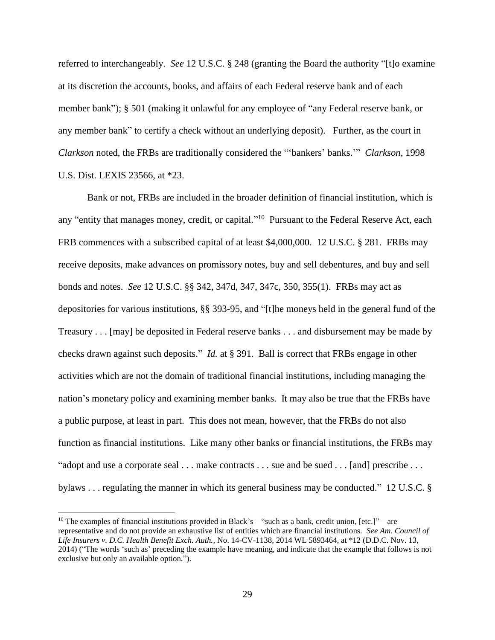referred to interchangeably. *See* 12 U.S.C. § 248 (granting the Board the authority "[t]o examine at its discretion the accounts, books, and affairs of each Federal reserve bank and of each member bank"); § 501 (making it unlawful for any employee of "any Federal reserve bank, or any member bank" to certify a check without an underlying deposit). Further, as the court in *Clarkson* noted, the FRBs are traditionally considered the "'bankers' banks.'" *Clarkson*, 1998 U.S. Dist. LEXIS 23566, at \*23.

Bank or not, FRBs are included in the broader definition of financial institution, which is any "entity that manages money, credit, or capital."<sup>10</sup> Pursuant to the Federal Reserve Act, each FRB commences with a subscribed capital of at least \$4,000,000. 12 U.S.C. § 281. FRBs may receive deposits, make advances on promissory notes, buy and sell debentures, and buy and sell bonds and notes. *See* 12 U.S.C. §§ 342, 347d, 347, 347c, 350, 355(1). FRBs may act as depositories for various institutions, §§ 393-95, and "[t]he moneys held in the general fund of the Treasury . . . [may] be deposited in Federal reserve banks . . . and disbursement may be made by checks drawn against such deposits." *Id.* at § 391. Ball is correct that FRBs engage in other activities which are not the domain of traditional financial institutions, including managing the nation's monetary policy and examining member banks. It may also be true that the FRBs have a public purpose, at least in part. This does not mean, however, that the FRBs do not also function as financial institutions. Like many other banks or financial institutions, the FRBs may "adopt and use a corporate seal . . . make contracts . . . sue and be sued . . . [and] prescribe . . . bylaws . . . regulating the manner in which its general business may be conducted." 12 U.S.C. §

<sup>&</sup>lt;sup>10</sup> The examples of financial institutions provided in Black's—"such as a bank, credit union, [etc.]"—are representative and do not provide an exhaustive list of entities which are financial institutions. *See Am. Council of Life Insurers v. D.C. Health Benefit Exch. Auth.*, No. 14-CV-1138, 2014 WL 5893464, at \*12 (D.D.C. Nov. 13, 2014) ("The words 'such as' preceding the example have meaning, and indicate that the example that follows is not exclusive but only an available option.").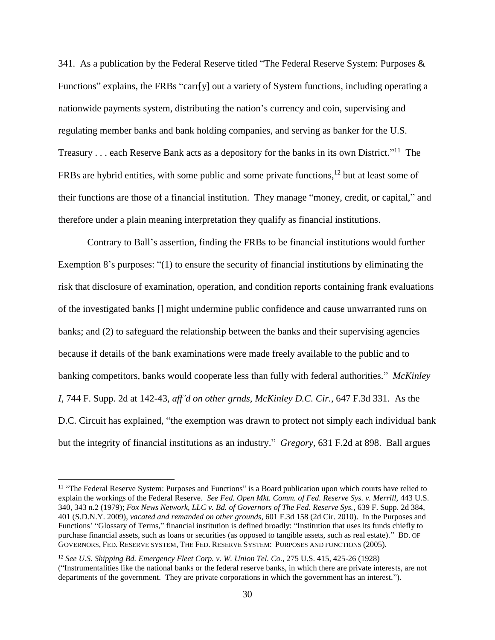341. As a publication by the Federal Reserve titled "The Federal Reserve System: Purposes & Functions" explains, the FRBs "carr[y] out a variety of System functions, including operating a nationwide payments system, distributing the nation's currency and coin, supervising and regulating member banks and bank holding companies, and serving as banker for the U.S. Treasury . . . each Reserve Bank acts as a depository for the banks in its own District."<sup>11</sup> The FRBs are hybrid entities, with some public and some private functions,  $^{12}$  but at least some of their functions are those of a financial institution. They manage "money, credit, or capital," and therefore under a plain meaning interpretation they qualify as financial institutions.

Contrary to Ball's assertion, finding the FRBs to be financial institutions would further Exemption 8's purposes: "(1) to ensure the security of financial institutions by eliminating the risk that disclosure of examination, operation, and condition reports containing frank evaluations of the investigated banks [] might undermine public confidence and cause unwarranted runs on banks; and (2) to safeguard the relationship between the banks and their supervising agencies because if details of the bank examinations were made freely available to the public and to banking competitors, banks would cooperate less than fully with federal authorities." *McKinley I*, 744 F. Supp. 2d at 142-43, *aff'd on other grnds, McKinley D.C. Cir.*, 647 F.3d 331. As the D.C. Circuit has explained, "the exemption was drawn to protect not simply each individual bank but the integrity of financial institutions as an industry." *Gregory*, 631 F.2d at 898. Ball argues

<sup>&</sup>lt;sup>11</sup> "The Federal Reserve System: Purposes and Functions" is a Board publication upon which courts have relied to explain the workings of the Federal Reserve. *See Fed. Open Mkt. Comm. of Fed. Reserve Sys. v. Merrill,* 443 U.S. 340, 343 n.2 (1979); *Fox News Network, LLC v. Bd. of Governors of The Fed. Reserve Sys.*, 639 F. Supp. 2d 384, 401 (S.D.N.Y. 2009), *vacated and remanded on other grounds,* 601 F.3d 158 (2d Cir. 2010). In the Purposes and Functions' "Glossary of Terms," financial institution is defined broadly: "Institution that uses its funds chiefly to purchase financial assets, such as loans or securities (as opposed to tangible assets, such as real estate)." BD. OF GOVERNORS, FED. RESERVE SYSTEM, THE FED. RESERVE SYSTEM: PURPOSES AND FUNCTIONS (2005).

<sup>12</sup> *See U.S. Shipping Bd. Emergency Fleet Corp. v. W. Union Tel. Co.,* 275 U.S. 415, 425-26 (1928) ("Instrumentalities like the national banks or the federal reserve banks, in which there are private interests, are not departments of the government. They are private corporations in which the government has an interest.").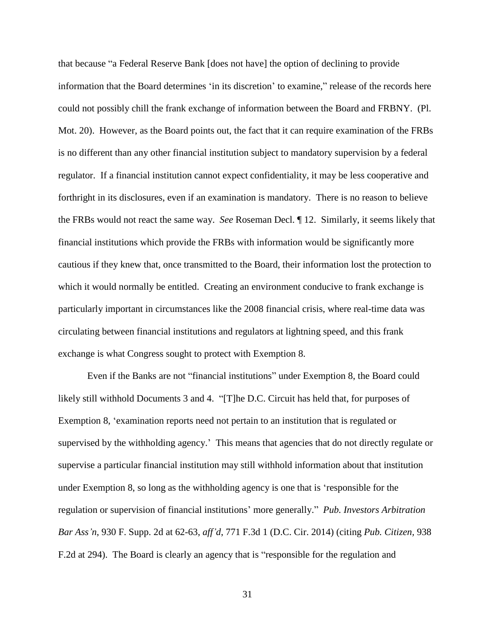that because "a Federal Reserve Bank [does not have] the option of declining to provide information that the Board determines 'in its discretion' to examine," release of the records here could not possibly chill the frank exchange of information between the Board and FRBNY. (Pl. Mot. 20). However, as the Board points out, the fact that it can require examination of the FRBs is no different than any other financial institution subject to mandatory supervision by a federal regulator. If a financial institution cannot expect confidentiality, it may be less cooperative and forthright in its disclosures, even if an examination is mandatory. There is no reason to believe the FRBs would not react the same way. *See* Roseman Decl. ¶ 12. Similarly, it seems likely that financial institutions which provide the FRBs with information would be significantly more cautious if they knew that, once transmitted to the Board, their information lost the protection to which it would normally be entitled. Creating an environment conducive to frank exchange is particularly important in circumstances like the 2008 financial crisis, where real-time data was circulating between financial institutions and regulators at lightning speed, and this frank exchange is what Congress sought to protect with Exemption 8.

Even if the Banks are not "financial institutions" under Exemption 8, the Board could likely still withhold Documents 3 and 4. "[T]he D.C. Circuit has held that, for purposes of Exemption 8, 'examination reports need not pertain to an institution that is regulated or supervised by the withholding agency.' This means that agencies that do not directly regulate or supervise a particular financial institution may still withhold information about that institution under Exemption 8, so long as the withholding agency is one that is 'responsible for the regulation or supervision of financial institutions' more generally." *Pub. Investors Arbitration Bar Ass'n*, 930 F. Supp. 2d at 62-63, *aff'd*, 771 F.3d 1 (D.C. Cir. 2014) (citing *Pub. Citizen,* 938 F.2d at 294). The Board is clearly an agency that is "responsible for the regulation and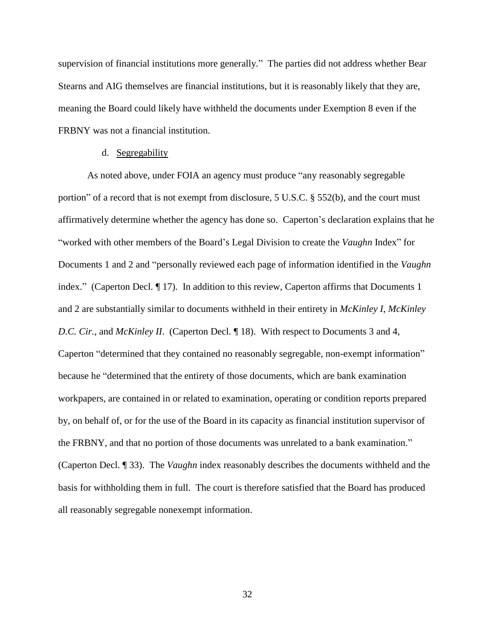supervision of financial institutions more generally." The parties did not address whether Bear Stearns and AIG themselves are financial institutions, but it is reasonably likely that they are, meaning the Board could likely have withheld the documents under Exemption 8 even if the FRBNY was not a financial institution.

### d. Segregability

As noted above, under FOIA an agency must produce "any reasonably segregable portion" of a record that is not exempt from disclosure, 5 U.S.C. § 552(b), and the court must affirmatively determine whether the agency has done so. Caperton's declaration explains that he "worked with other members of the Board's Legal Division to create the *Vaughn* Index" for Documents 1 and 2 and "personally reviewed each page of information identified in the *Vaughn* index." (Caperton Decl. ¶ 17). In addition to this review, Caperton affirms that Documents 1 and 2 are substantially similar to documents withheld in their entirety in *McKinley I*, *McKinley D.C. Cir.*, and *McKinley II.* (Caperton Decl. 18). With respect to Documents 3 and 4, Caperton "determined that they contained no reasonably segregable, non-exempt information" because he "determined that the entirety of those documents, which are bank examination workpapers, are contained in or related to examination, operating or condition reports prepared by, on behalf of, or for the use of the Board in its capacity as financial institution supervisor of the FRBNY, and that no portion of those documents was unrelated to a bank examination." (Caperton Decl. ¶ 33). The *Vaughn* index reasonably describes the documents withheld and the basis for withholding them in full. The court is therefore satisfied that the Board has produced all reasonably segregable nonexempt information.